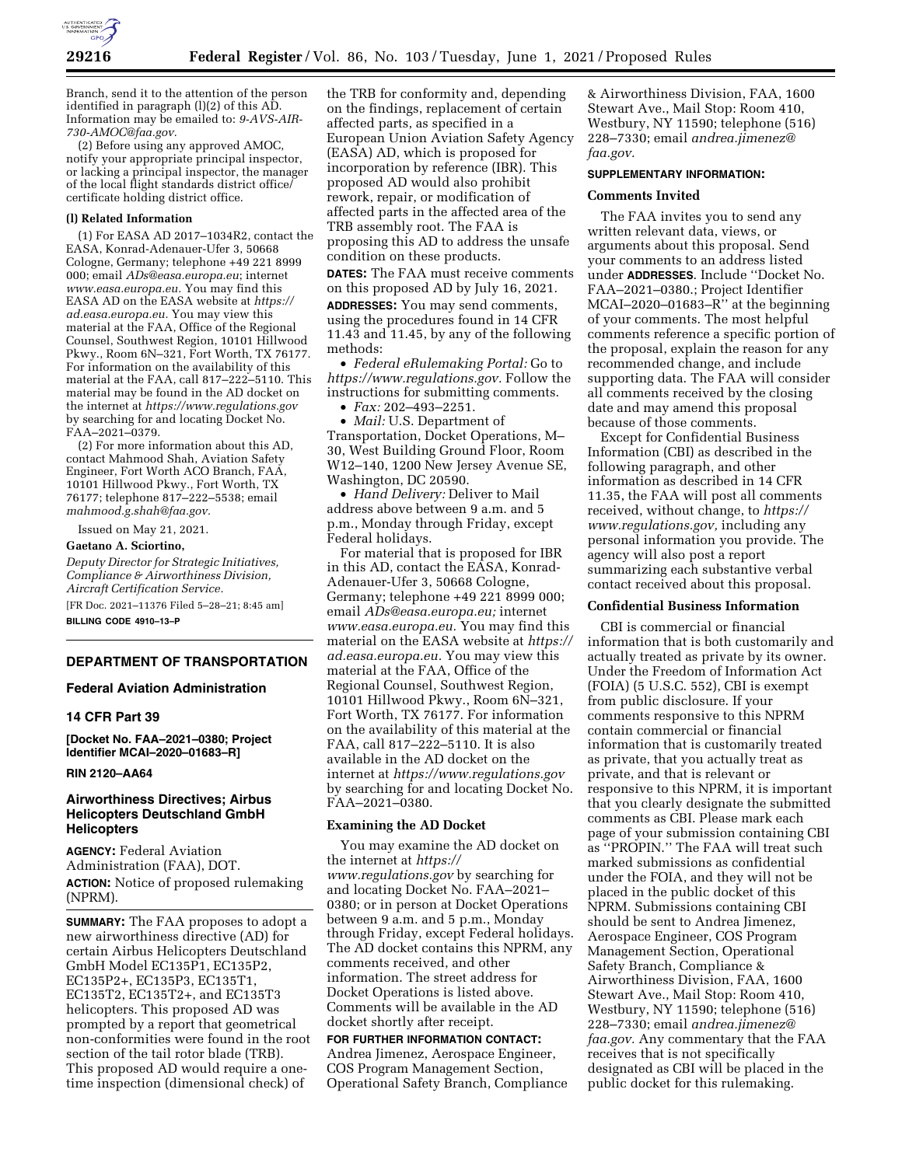

Branch, send it to the attention of the person identified in paragraph (l)(2) of this AD. Information may be emailed to: *[9-AVS-AIR-](mailto:9-AVS-AIR-730-AMOC@faa.gov)[730-AMOC@faa.gov.](mailto:9-AVS-AIR-730-AMOC@faa.gov)* 

(2) Before using any approved AMOC, notify your appropriate principal inspector, or lacking a principal inspector, the manager of the local flight standards district office/ certificate holding district office.

## **(l) Related Information**

(1) For EASA AD 2017–1034R2, contact the EASA, Konrad-Adenauer-Ufer 3, 50668 Cologne, Germany; telephone +49 221 8999 000; email *[ADs@easa.europa.eu](mailto:ADs@easa.europa.eu)*; internet *[www.easa.europa.eu.](http://www.easa.europa.eu)* You may find this EASA AD on the EASA website at *[https://](https://ad.easa.europa.eu) [ad.easa.europa.eu.](https://ad.easa.europa.eu)* You may view this material at the FAA, Office of the Regional Counsel, Southwest Region, 10101 Hillwood Pkwy., Room 6N–321, Fort Worth, TX 76177. For information on the availability of this material at the FAA, call 817–222–5110. This material may be found in the AD docket on the internet at *<https://www.regulations.gov>*  by searching for and locating Docket No. FAA–2021–0379.

(2) For more information about this AD, contact Mahmood Shah, Aviation Safety Engineer, Fort Worth ACO Branch, FAA, 10101 Hillwood Pkwy., Fort Worth, TX 76177; telephone 817–222–5538; email *[mahmood.g.shah@faa.gov.](mailto:mahmood.g.shah@faa.gov)* 

Issued on May 21, 2021.

#### **Gaetano A. Sciortino,**

*Deputy Director for Strategic Initiatives, Compliance & Airworthiness Division, Aircraft Certification Service.*  [FR Doc. 2021–11376 Filed 5–28–21; 8:45 am]

**BILLING CODE 4910–13–P** 

## **DEPARTMENT OF TRANSPORTATION**

## **Federal Aviation Administration**

### **14 CFR Part 39**

**[Docket No. FAA–2021–0380; Project Identifier MCAI–2020–01683–R]** 

#### **RIN 2120–AA64**

## **Airworthiness Directives; Airbus Helicopters Deutschland GmbH Helicopters**

**AGENCY:** Federal Aviation Administration (FAA), DOT. **ACTION:** Notice of proposed rulemaking (NPRM).

**SUMMARY:** The FAA proposes to adopt a new airworthiness directive (AD) for certain Airbus Helicopters Deutschland GmbH Model EC135P1, EC135P2, EC135P2+, EC135P3, EC135T1, EC135T2, EC135T2+, and EC135T3 helicopters. This proposed AD was prompted by a report that geometrical non-conformities were found in the root section of the tail rotor blade (TRB). This proposed AD would require a onetime inspection (dimensional check) of

the TRB for conformity and, depending on the findings, replacement of certain affected parts, as specified in a European Union Aviation Safety Agency (EASA) AD, which is proposed for incorporation by reference (IBR). This proposed AD would also prohibit rework, repair, or modification of affected parts in the affected area of the TRB assembly root. The FAA is proposing this AD to address the unsafe condition on these products. **DATES:** The FAA must receive comments on this proposed AD by July 16, 2021. **ADDRESSES:** You may send comments, using the procedures found in 14 CFR 11.43 and 11.45, by any of the following methods:

• *Federal eRulemaking Portal:* Go to *[https://www.regulations.gov.](https://www.regulations.gov)* Follow the instructions for submitting comments.

• *Fax:* 202–493–2251.

• *Mail:* U.S. Department of Transportation, Docket Operations, M– 30, West Building Ground Floor, Room W12–140, 1200 New Jersey Avenue SE, Washington, DC 20590.

• *Hand Delivery:* Deliver to Mail address above between 9 a.m. and 5 p.m., Monday through Friday, except Federal holidays.

For material that is proposed for IBR in this AD, contact the EASA, Konrad-Adenauer-Ufer 3, 50668 Cologne, Germany; telephone +49 221 8999 000; email *[ADs@easa.europa.eu;](mailto:ADs@easa.europa.eu)* internet *[www.easa.europa.eu.](http://www.easa.europa.eu)* You may find this material on the EASA website at *[https://](https://ad.easa.europa.eu)  [ad.easa.europa.eu.](https://ad.easa.europa.eu)* You may view this material at the FAA, Office of the Regional Counsel, Southwest Region, 10101 Hillwood Pkwy., Room 6N–321, Fort Worth, TX 76177. For information on the availability of this material at the FAA, call 817-222-5110. It is also available in the AD docket on the internet at *<https://www.regulations.gov>*  by searching for and locating Docket No. FAA–2021–0380.

#### **Examining the AD Docket**

You may examine the AD docket on the internet at *[https://](https://www.regulations.gov) [www.regulations.gov](https://www.regulations.gov)* by searching for and locating Docket No. FAA–2021– 0380; or in person at Docket Operations between 9 a.m. and 5 p.m., Monday through Friday, except Federal holidays. The AD docket contains this NPRM, any comments received, and other information. The street address for Docket Operations is listed above. Comments will be available in the AD docket shortly after receipt.

#### **FOR FURTHER INFORMATION CONTACT:**

Andrea Jimenez, Aerospace Engineer, COS Program Management Section, Operational Safety Branch, Compliance

& Airworthiness Division, FAA, 1600 Stewart Ave., Mail Stop: Room 410, Westbury, NY 11590; telephone (516) 228–7330; email *[andrea.jimenez@](mailto:andrea.jimenez@faa.gov) [faa.gov.](mailto:andrea.jimenez@faa.gov)* 

#### **SUPPLEMENTARY INFORMATION:**

### **Comments Invited**

The FAA invites you to send any written relevant data, views, or arguments about this proposal. Send your comments to an address listed under **ADDRESSES**. Include ''Docket No. FAA–2021–0380.; Project Identifier MCAI–2020–01683–R'' at the beginning of your comments. The most helpful comments reference a specific portion of the proposal, explain the reason for any recommended change, and include supporting data. The FAA will consider all comments received by the closing date and may amend this proposal because of those comments.

Except for Confidential Business Information (CBI) as described in the following paragraph, and other information as described in 14 CFR 11.35, the FAA will post all comments received, without change, to *[https://](https://www.regulations.gov) [www.regulations.gov,](https://www.regulations.gov)* including any personal information you provide. The agency will also post a report summarizing each substantive verbal contact received about this proposal.

### **Confidential Business Information**

CBI is commercial or financial information that is both customarily and actually treated as private by its owner. Under the Freedom of Information Act (FOIA) (5 U.S.C. 552), CBI is exempt from public disclosure. If your comments responsive to this NPRM contain commercial or financial information that is customarily treated as private, that you actually treat as private, and that is relevant or responsive to this NPRM, it is important that you clearly designate the submitted comments as CBI. Please mark each page of your submission containing CBI as ''PROPIN.'' The FAA will treat such marked submissions as confidential under the FOIA, and they will not be placed in the public docket of this NPRM. Submissions containing CBI should be sent to Andrea Jimenez, Aerospace Engineer, COS Program Management Section, Operational Safety Branch, Compliance & Airworthiness Division, FAA, 1600 Stewart Ave., Mail Stop: Room 410, Westbury, NY 11590; telephone (516) 228–7330; email *[andrea.jimenez@](mailto:andrea.jimenez@faa.gov) [faa.gov.](mailto:andrea.jimenez@faa.gov)* Any commentary that the FAA receives that is not specifically designated as CBI will be placed in the public docket for this rulemaking.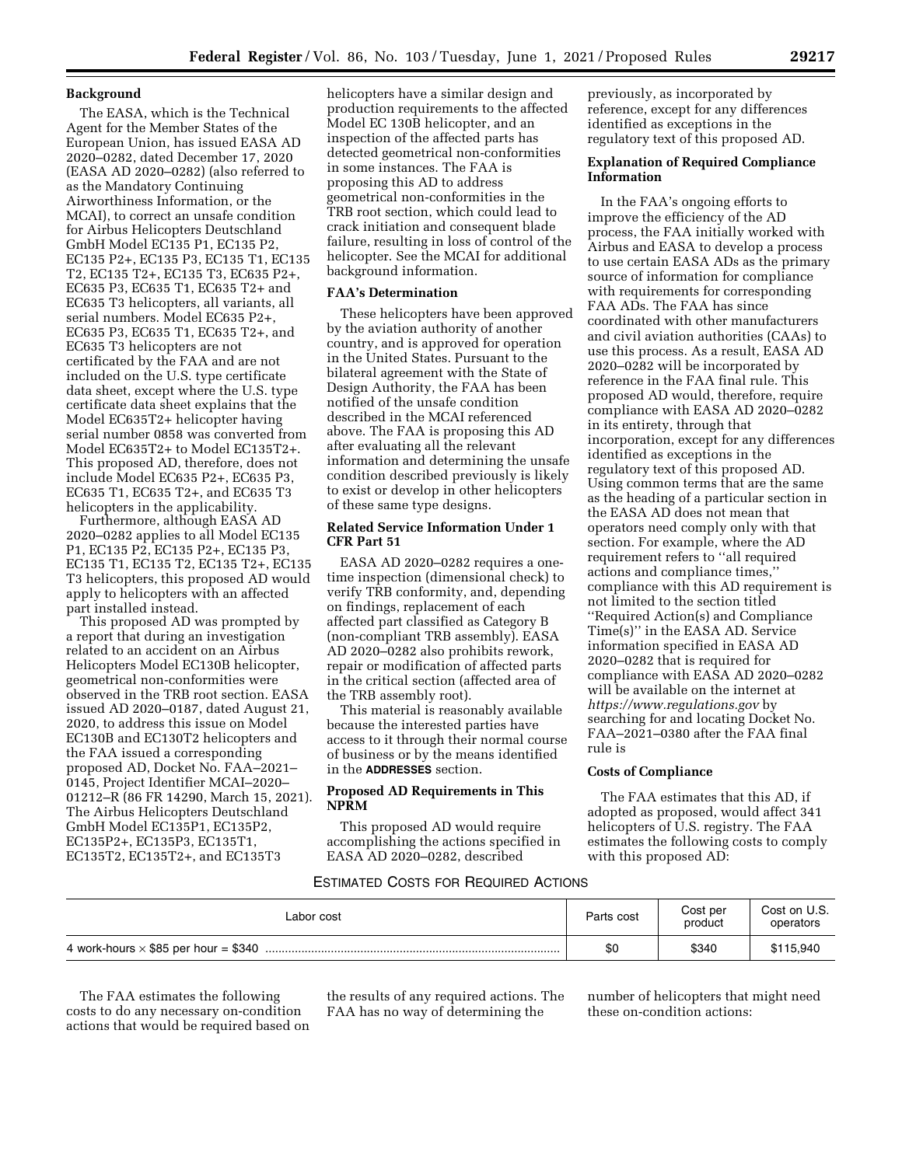## **Background**

The EASA, which is the Technical Agent for the Member States of the European Union, has issued EASA AD 2020–0282, dated December 17, 2020 (EASA AD 2020–0282) (also referred to as the Mandatory Continuing Airworthiness Information, or the MCAI), to correct an unsafe condition for Airbus Helicopters Deutschland GmbH Model EC135 P1, EC135 P2, EC135 P2+, EC135 P3, EC135 T1, EC135 T2, EC135 T2+, EC135 T3, EC635 P2+, EC635 P3, EC635 T1, EC635 T2+ and EC635 T3 helicopters, all variants, all serial numbers. Model EC635 P2+, EC635 P3, EC635 T1, EC635 T2+, and EC635 T3 helicopters are not certificated by the FAA and are not included on the U.S. type certificate data sheet, except where the U.S. type certificate data sheet explains that the Model EC635T2+ helicopter having serial number 0858 was converted from Model EC635T2+ to Model EC135T2+. This proposed AD, therefore, does not include Model EC635 P2+, EC635 P3, EC635 T1, EC635 T2+, and EC635 T3 helicopters in the applicability.

Furthermore, although EASA AD 2020–0282 applies to all Model EC135 P1, EC135 P2, EC135 P2+, EC135 P3, EC135 T1, EC135 T2, EC135 T2+, EC135 T3 helicopters, this proposed AD would apply to helicopters with an affected part installed instead.

This proposed AD was prompted by a report that during an investigation related to an accident on an Airbus Helicopters Model EC130B helicopter, geometrical non-conformities were observed in the TRB root section. EASA issued AD 2020–0187, dated August 21, 2020, to address this issue on Model EC130B and EC130T2 helicopters and the FAA issued a corresponding proposed AD, Docket No. FAA–2021– 0145, Project Identifier MCAI–2020– 01212–R (86 FR 14290, March 15, 2021). The Airbus Helicopters Deutschland GmbH Model EC135P1, EC135P2, EC135P2+, EC135P3, EC135T1, EC135T2, EC135T2+, and EC135T3

helicopters have a similar design and production requirements to the affected Model EC 130B helicopter, and an inspection of the affected parts has detected geometrical non-conformities in some instances. The FAA is proposing this AD to address geometrical non-conformities in the TRB root section, which could lead to crack initiation and consequent blade failure, resulting in loss of control of the helicopter. See the MCAI for additional background information.

## **FAA's Determination**

These helicopters have been approved by the aviation authority of another country, and is approved for operation in the United States. Pursuant to the bilateral agreement with the State of Design Authority, the FAA has been notified of the unsafe condition described in the MCAI referenced above. The FAA is proposing this AD after evaluating all the relevant information and determining the unsafe condition described previously is likely to exist or develop in other helicopters of these same type designs.

## **Related Service Information Under 1 CFR Part 51**

EASA AD 2020–0282 requires a onetime inspection (dimensional check) to verify TRB conformity, and, depending on findings, replacement of each affected part classified as Category B (non-compliant TRB assembly). EASA AD 2020–0282 also prohibits rework, repair or modification of affected parts in the critical section (affected area of the TRB assembly root).

This material is reasonably available because the interested parties have access to it through their normal course of business or by the means identified in the **ADDRESSES** section.

## **Proposed AD Requirements in This NPRM**

This proposed AD would require accomplishing the actions specified in EASA AD 2020–0282, described

previously, as incorporated by reference, except for any differences identified as exceptions in the regulatory text of this proposed AD.

## **Explanation of Required Compliance Information**

In the FAA's ongoing efforts to improve the efficiency of the AD process, the FAA initially worked with Airbus and EASA to develop a process to use certain EASA ADs as the primary source of information for compliance with requirements for corresponding FAA ADs. The FAA has since coordinated with other manufacturers and civil aviation authorities (CAAs) to use this process. As a result, EASA AD 2020–0282 will be incorporated by reference in the FAA final rule. This proposed AD would, therefore, require compliance with EASA AD 2020–0282 in its entirety, through that incorporation, except for any differences identified as exceptions in the regulatory text of this proposed AD. Using common terms that are the same as the heading of a particular section in the EASA AD does not mean that operators need comply only with that section. For example, where the AD requirement refers to ''all required actions and compliance times,'' compliance with this AD requirement is not limited to the section titled ''Required Action(s) and Compliance Time(s)'' in the EASA AD. Service information specified in EASA AD 2020–0282 that is required for compliance with EASA AD 2020–0282 will be available on the internet at *<https://www.regulations.gov>* by searching for and locating Docket No. FAA–2021–0380 after the FAA final rule is

### **Costs of Compliance**

The FAA estimates that this AD, if adopted as proposed, would affect 341 helicopters of U.S. registry. The FAA estimates the following costs to comply with this proposed AD:

## ESTIMATED COSTS FOR REQUIRED ACTIONS

| Labor cost | Parts cost | Cost per<br>product | Cost on U.S.<br>operators |
|------------|------------|---------------------|---------------------------|
|            | \$0        | \$340               | \$115,940                 |

The FAA estimates the following costs to do any necessary on-condition actions that would be required based on the results of any required actions. The FAA has no way of determining the

number of helicopters that might need these on-condition actions: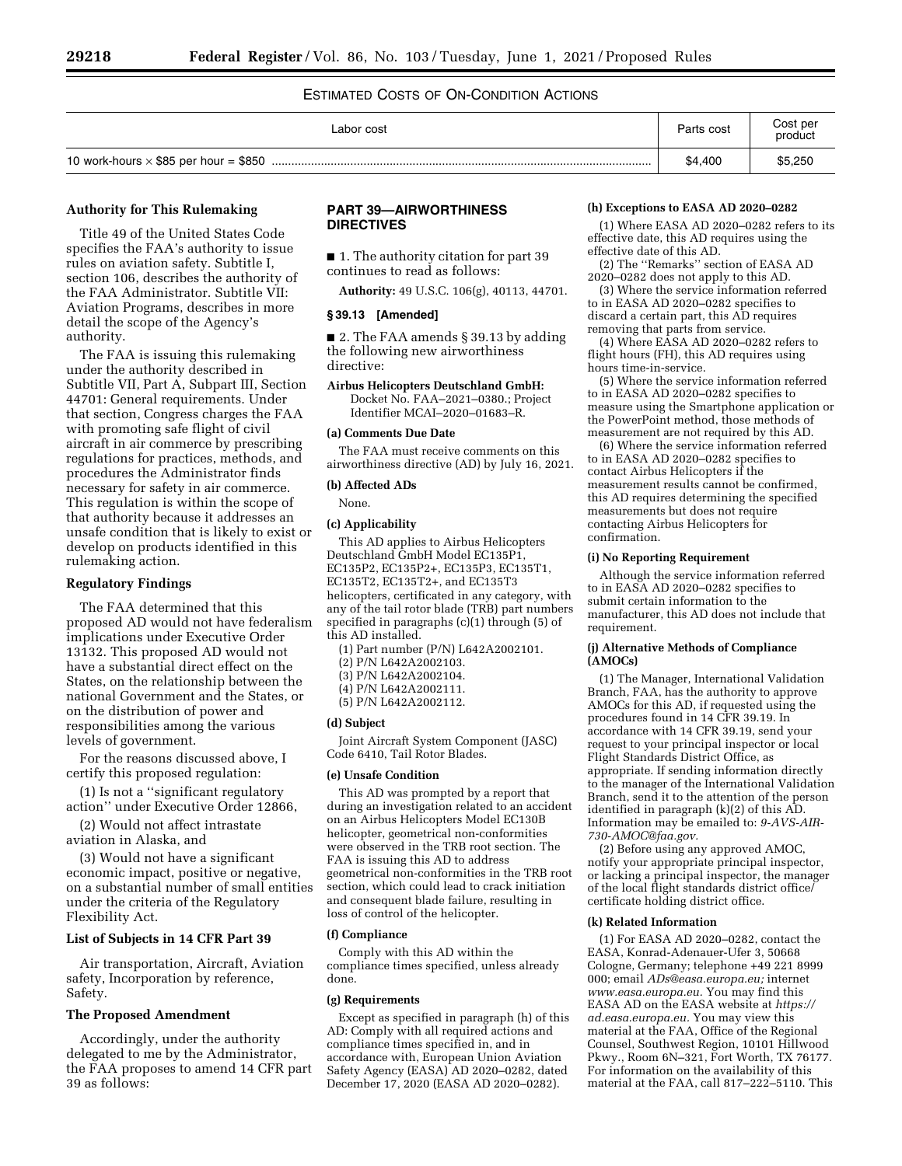## ESTIMATED COSTS OF ON-CONDITION ACTIONS

| Labor cost | Parts cost | Cost per<br>product |
|------------|------------|---------------------|
|            | \$4,400    | \$5,250             |

## **Authority for This Rulemaking**

Title 49 of the United States Code specifies the FAA's authority to issue rules on aviation safety. Subtitle I, section 106, describes the authority of the FAA Administrator. Subtitle VII: Aviation Programs, describes in more detail the scope of the Agency's authority.

The FAA is issuing this rulemaking under the authority described in Subtitle VII, Part A, Subpart III, Section 44701: General requirements. Under that section, Congress charges the FAA with promoting safe flight of civil aircraft in air commerce by prescribing regulations for practices, methods, and procedures the Administrator finds necessary for safety in air commerce. This regulation is within the scope of that authority because it addresses an unsafe condition that is likely to exist or develop on products identified in this rulemaking action.

### **Regulatory Findings**

The FAA determined that this proposed AD would not have federalism implications under Executive Order 13132. This proposed AD would not have a substantial direct effect on the States, on the relationship between the national Government and the States, or on the distribution of power and responsibilities among the various levels of government.

For the reasons discussed above, I certify this proposed regulation:

(1) Is not a ''significant regulatory action'' under Executive Order 12866,

(2) Would not affect intrastate aviation in Alaska, and

(3) Would not have a significant economic impact, positive or negative, on a substantial number of small entities under the criteria of the Regulatory Flexibility Act.

#### **List of Subjects in 14 CFR Part 39**

Air transportation, Aircraft, Aviation safety, Incorporation by reference, Safety.

#### **The Proposed Amendment**

Accordingly, under the authority delegated to me by the Administrator, the FAA proposes to amend 14 CFR part 39 as follows:

## **PART 39—AIRWORTHINESS DIRECTIVES**

■ 1. The authority citation for part 39 continues to read as follows:

**Authority:** 49 U.S.C. 106(g), 40113, 44701.

## **§ 39.13 [Amended]**

■ 2. The FAA amends § 39.13 by adding the following new airworthiness directive:

**Airbus Helicopters Deutschland GmbH:**  Docket No. FAA–2021–0380.; Project Identifier MCAI–2020–01683–R.

#### **(a) Comments Due Date**

The FAA must receive comments on this airworthiness directive (AD) by July 16, 2021.

#### **(b) Affected ADs**

None.

#### **(c) Applicability**

This AD applies to Airbus Helicopters Deutschland GmbH Model EC135P1, EC135P2, EC135P2+, EC135P3, EC135T1, EC135T2, EC135T2+, and EC135T3 helicopters, certificated in any category, with any of the tail rotor blade (TRB) part numbers specified in paragraphs (c)(1) through (5) of this AD installed.

(1) Part number (P/N) L642A2002101.

- (2) P/N L642A2002103.
- (3) P/N L642A2002104.

(4) P/N L642A2002111.

(5) P/N L642A2002112.

#### **(d) Subject**

Joint Aircraft System Component (JASC) Code 6410, Tail Rotor Blades.

#### **(e) Unsafe Condition**

This AD was prompted by a report that during an investigation related to an accident on an Airbus Helicopters Model EC130B helicopter, geometrical non-conformities were observed in the TRB root section. The FAA is issuing this AD to address geometrical non-conformities in the TRB root section, which could lead to crack initiation and consequent blade failure, resulting in loss of control of the helicopter.

#### **(f) Compliance**

Comply with this AD within the compliance times specified, unless already done.

#### **(g) Requirements**

Except as specified in paragraph (h) of this AD: Comply with all required actions and compliance times specified in, and in accordance with, European Union Aviation Safety Agency (EASA) AD 2020–0282, dated December 17, 2020 (EASA AD 2020–0282).

#### **(h) Exceptions to EASA AD 2020–0282**

(1) Where EASA AD 2020–0282 refers to its effective date, this AD requires using the effective date of this AD.

(2) The ''Remarks'' section of EASA AD 2020–0282 does not apply to this AD.

(3) Where the service information referred to in EASA AD 2020–0282 specifies to discard a certain part, this AD requires removing that parts from service.

(4) Where EASA AD 2020–0282 refers to flight hours (FH), this AD requires using hours time-in-service.

(5) Where the service information referred to in EASA AD 2020–0282 specifies to measure using the Smartphone application or the PowerPoint method, those methods of measurement are not required by this AD.

(6) Where the service information referred to in EASA AD 2020–0282 specifies to contact Airbus Helicopters if the measurement results cannot be confirmed, this AD requires determining the specified measurements but does not require contacting Airbus Helicopters for confirmation.

#### **(i) No Reporting Requirement**

Although the service information referred to in EASA AD 2020–0282 specifies to submit certain information to the manufacturer, this AD does not include that requirement.

### **(j) Alternative Methods of Compliance (AMOCs)**

(1) The Manager, International Validation Branch, FAA, has the authority to approve AMOCs for this AD, if requested using the procedures found in 14 CFR 39.19. In accordance with 14 CFR 39.19, send your request to your principal inspector or local Flight Standards District Office, as appropriate. If sending information directly to the manager of the International Validation Branch, send it to the attention of the person identified in paragraph (k)(2) of this AD. Information may be emailed to: *[9-AVS-AIR-](mailto:9-AVS-AIR-730-AMOC@faa.gov)[730-AMOC@faa.gov.](mailto:9-AVS-AIR-730-AMOC@faa.gov)* 

(2) Before using any approved AMOC, notify your appropriate principal inspector, or lacking a principal inspector, the manager of the local flight standards district office/ certificate holding district office.

## **(k) Related Information**

(1) For EASA AD 2020–0282, contact the EASA, Konrad-Adenauer-Ufer 3, 50668 Cologne, Germany; telephone +49 221 8999 000; email *[ADs@easa.europa.eu;](mailto:ADs@easa.europa.eu)* internet *[www.easa.europa.eu.](http://www.easa.europa.eu)* You may find this EASA AD on the EASA website at *[https://](https://ad.easa.europa.eu) [ad.easa.europa.eu.](https://ad.easa.europa.eu)* You may view this material at the FAA, Office of the Regional Counsel, Southwest Region, 10101 Hillwood Pkwy., Room 6N–321, Fort Worth, TX 76177. For information on the availability of this material at the FAA, call 817–222–5110. This